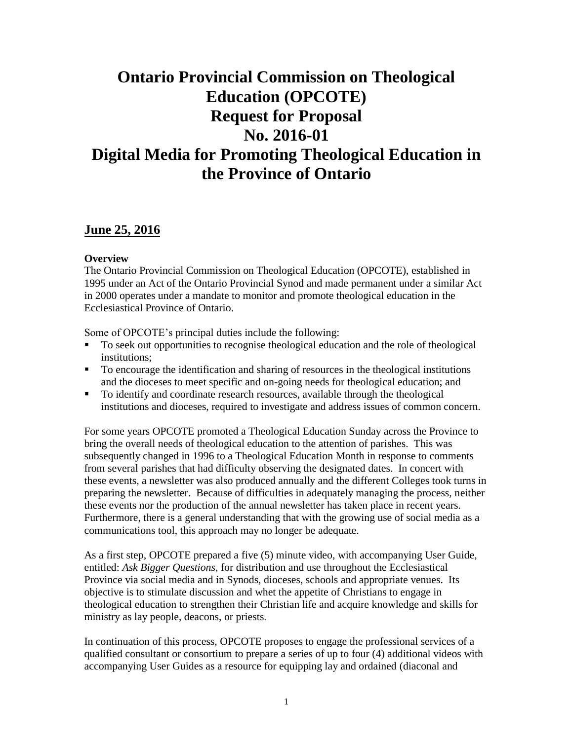# **Ontario Provincial Commission on Theological Education (OPCOTE) Request for Proposal No. 2016-01 Digital Media for Promoting Theological Education in the Province of Ontario**

## **June 25, 2016**

#### **Overview**

The Ontario Provincial Commission on Theological Education (OPCOTE), established in 1995 under an Act of the Ontario Provincial Synod and made permanent under a similar Act in 2000 operates under a mandate to monitor and promote theological education in the Ecclesiastical Province of Ontario.

Some of OPCOTE's principal duties include the following:

- To seek out opportunities to recognise theological education and the role of theological institutions;
- To encourage the identification and sharing of resources in the theological institutions and the dioceses to meet specific and on-going needs for theological education; and
- To identify and coordinate research resources, available through the theological institutions and dioceses, required to investigate and address issues of common concern.

For some years OPCOTE promoted a Theological Education Sunday across the Province to bring the overall needs of theological education to the attention of parishes. This was subsequently changed in 1996 to a Theological Education Month in response to comments from several parishes that had difficulty observing the designated dates. In concert with these events, a newsletter was also produced annually and the different Colleges took turns in preparing the newsletter. Because of difficulties in adequately managing the process, neither these events nor the production of the annual newsletter has taken place in recent years. Furthermore, there is a general understanding that with the growing use of social media as a communications tool, this approach may no longer be adequate.

As a first step, OPCOTE prepared a five (5) minute video, with accompanying User Guide, entitled: *Ask Bigger Questions*, for distribution and use throughout the Ecclesiastical Province via social media and in Synods, dioceses, schools and appropriate venues. Its objective is to stimulate discussion and whet the appetite of Christians to engage in theological education to strengthen their Christian life and acquire knowledge and skills for ministry as lay people, deacons, or priests.

In continuation of this process, OPCOTE proposes to engage the professional services of a qualified consultant or consortium to prepare a series of up to four (4) additional videos with accompanying User Guides as a resource for equipping lay and ordained (diaconal and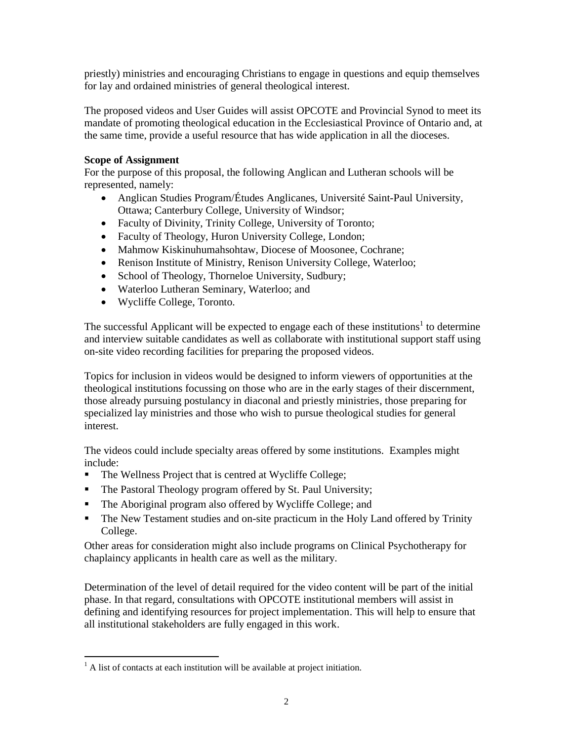priestly) ministries and encouraging Christians to engage in questions and equip themselves for lay and ordained ministries of general theological interest.

The proposed videos and User Guides will assist OPCOTE and Provincial Synod to meet its mandate of promoting theological education in the Ecclesiastical Province of Ontario and, at the same time, provide a useful resource that has wide application in all the dioceses.

#### **Scope of Assignment**

For the purpose of this proposal, the following Anglican and Lutheran schools will be represented, namely:

- Anglican Studies Program/Études Anglicanes, Université Saint-Paul University, Ottawa; Canterbury College, University of Windsor;
- Faculty of Divinity, Trinity College, University of Toronto;
- Faculty of Theology, Huron University College, London;
- Mahmow Kiskinuhumahsohtaw, Diocese of Moosonee, Cochrane;
- Renison Institute of Ministry, Renison University College, Waterloo;
- School of Theology, Thorneloe University, Sudbury;
- Waterloo Lutheran Seminary, Waterloo; and
- Wycliffe College, Toronto.

The successful Applicant will be expected to engage each of these institutions<sup>1</sup> to determine and interview suitable candidates as well as collaborate with institutional support staff using on-site video recording facilities for preparing the proposed videos.

Topics for inclusion in videos would be designed to inform viewers of opportunities at the theological institutions focussing on those who are in the early stages of their discernment, those already pursuing postulancy in diaconal and priestly ministries, those preparing for specialized lay ministries and those who wish to pursue theological studies for general interest.

The videos could include specialty areas offered by some institutions. Examples might include:

- The Wellness Project that is centred at Wycliffe College;
- The Pastoral Theology program offered by St. Paul University;
- The Aboriginal program also offered by Wycliffe College; and
- The New Testament studies and on-site practicum in the Holy Land offered by Trinity College.

Other areas for consideration might also include programs on Clinical Psychotherapy for chaplaincy applicants in health care as well as the military.

Determination of the level of detail required for the video content will be part of the initial phase. In that regard, consultations with OPCOTE institutional members will assist in defining and identifying resources for project implementation. This will help to ensure that all institutional stakeholders are fully engaged in this work.

 $\overline{a}$ 

 $<sup>1</sup>$  A list of contacts at each institution will be available at project initiation.</sup>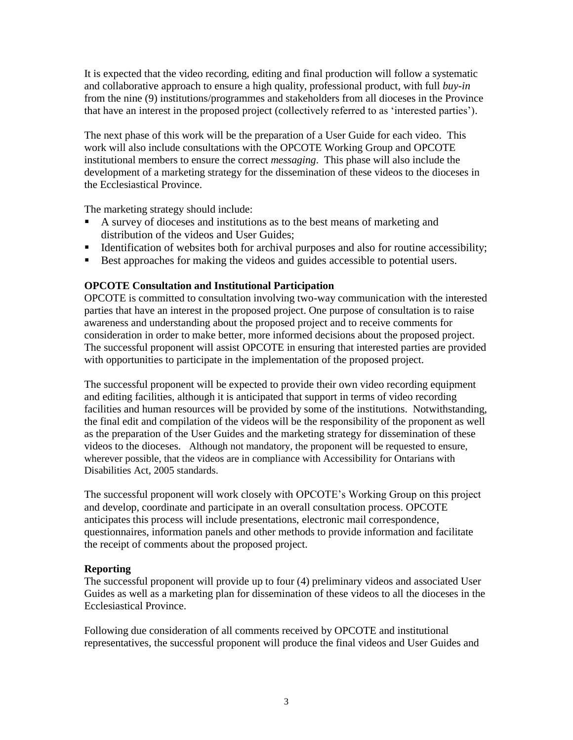It is expected that the video recording, editing and final production will follow a systematic and collaborative approach to ensure a high quality, professional product, with full *buy-in* from the nine (9) institutions/programmes and stakeholders from all dioceses in the Province that have an interest in the proposed project (collectively referred to as 'interested parties').

The next phase of this work will be the preparation of a User Guide for each video. This work will also include consultations with the OPCOTE Working Group and OPCOTE institutional members to ensure the correct *messaging*. This phase will also include the development of a marketing strategy for the dissemination of these videos to the dioceses in the Ecclesiastical Province.

The marketing strategy should include:

- A survey of dioceses and institutions as to the best means of marketing and distribution of the videos and User Guides;
- Identification of websites both for archival purposes and also for routine accessibility;
- Best approaches for making the videos and guides accessible to potential users.

### **OPCOTE Consultation and Institutional Participation**

OPCOTE is committed to consultation involving two-way communication with the interested parties that have an interest in the proposed project. One purpose of consultation is to raise awareness and understanding about the proposed project and to receive comments for consideration in order to make better, more informed decisions about the proposed project. The successful proponent will assist OPCOTE in ensuring that interested parties are provided with opportunities to participate in the implementation of the proposed project.

The successful proponent will be expected to provide their own video recording equipment and editing facilities, although it is anticipated that support in terms of video recording facilities and human resources will be provided by some of the institutions. Notwithstanding, the final edit and compilation of the videos will be the responsibility of the proponent as well as the preparation of the User Guides and the marketing strategy for dissemination of these videos to the dioceses. Although not mandatory, the proponent will be requested to ensure, wherever possible, that the videos are in compliance with Accessibility for Ontarians with Disabilities Act, 2005 standards.

The successful proponent will work closely with OPCOTE's Working Group on this project and develop, coordinate and participate in an overall consultation process. OPCOTE anticipates this process will include presentations, electronic mail correspondence, questionnaires, information panels and other methods to provide information and facilitate the receipt of comments about the proposed project.

#### **Reporting**

The successful proponent will provide up to four (4) preliminary videos and associated User Guides as well as a marketing plan for dissemination of these videos to all the dioceses in the Ecclesiastical Province.

Following due consideration of all comments received by OPCOTE and institutional representatives, the successful proponent will produce the final videos and User Guides and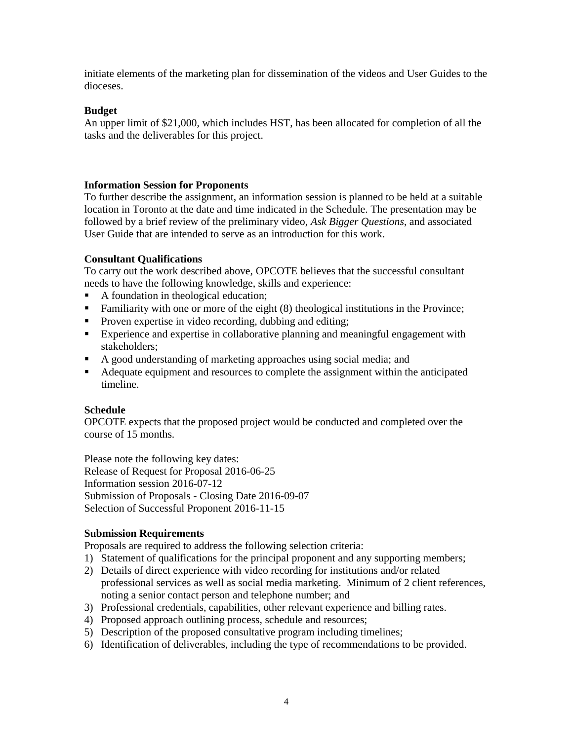initiate elements of the marketing plan for dissemination of the videos and User Guides to the dioceses.

#### **Budget**

An upper limit of \$21,000, which includes HST, has been allocated for completion of all the tasks and the deliverables for this project.

#### **Information Session for Proponents**

To further describe the assignment, an information session is planned to be held at a suitable location in Toronto at the date and time indicated in the Schedule. The presentation may be followed by a brief review of the preliminary video, *Ask Bigger Questions*, and associated User Guide that are intended to serve as an introduction for this work.

#### **Consultant Qualifications**

To carry out the work described above, OPCOTE believes that the successful consultant needs to have the following knowledge, skills and experience:

- A foundation in theological education;
- **Familiarity with one or more of the eight (8) theological institutions in the Province;**
- **Proven expertise in video recording, dubbing and editing;**
- Experience and expertise in collaborative planning and meaningful engagement with stakeholders;
- A good understanding of marketing approaches using social media; and
- Adequate equipment and resources to complete the assignment within the anticipated timeline.

#### **Schedule**

OPCOTE expects that the proposed project would be conducted and completed over the course of 15 months.

Please note the following key dates: Release of Request for Proposal 2016-06-25 Information session 2016-07-12 Submission of Proposals - Closing Date 2016-09-07 Selection of Successful Proponent 2016-11-15

#### **Submission Requirements**

Proposals are required to address the following selection criteria:

- 1) Statement of qualifications for the principal proponent and any supporting members;
- 2) Details of direct experience with video recording for institutions and/or related professional services as well as social media marketing. Minimum of 2 client references, noting a senior contact person and telephone number; and
- 3) Professional credentials, capabilities, other relevant experience and billing rates.
- 4) Proposed approach outlining process, schedule and resources;
- 5) Description of the proposed consultative program including timelines;
- 6) Identification of deliverables, including the type of recommendations to be provided.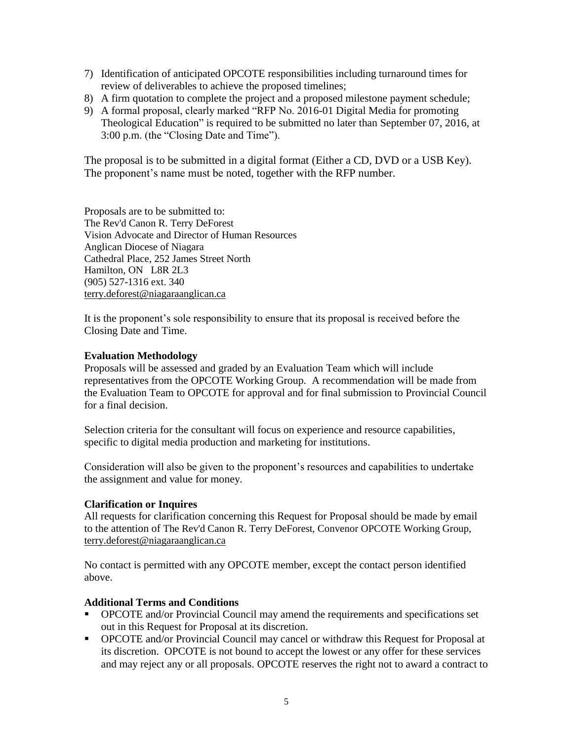- 7) Identification of anticipated OPCOTE responsibilities including turnaround times for review of deliverables to achieve the proposed timelines;
- 8) A firm quotation to complete the project and a proposed milestone payment schedule;
- 9) A formal proposal, clearly marked "RFP No. 2016-01 Digital Media for promoting Theological Education" is required to be submitted no later than September 07, 2016, at 3:00 p.m. (the "Closing Date and Time").

The proposal is to be submitted in a digital format (Either a CD, DVD or a USB Key). The proponent's name must be noted, together with the RFP number.

Proposals are to be submitted to: The Rev'd Canon R. Terry DeForest Vision Advocate and Director of Human Resources Anglican Diocese of Niagara Cathedral Place, 252 James Street North Hamilton, ON L8R 2L3 (905) 527-1316 ext. 340 [terry.deforest@niagaraanglican.ca](javascript:void(window.open()

It is the proponent's sole responsibility to ensure that its proposal is received before the Closing Date and Time.

#### **Evaluation Methodology**

Proposals will be assessed and graded by an Evaluation Team which will include representatives from the OPCOTE Working Group. A recommendation will be made from the Evaluation Team to OPCOTE for approval and for final submission to Provincial Council for a final decision.

Selection criteria for the consultant will focus on experience and resource capabilities, specific to digital media production and marketing for institutions.

Consideration will also be given to the proponent's resources and capabilities to undertake the assignment and value for money.

#### **Clarification or Inquires**

All requests for clarification concerning this Request for Proposal should be made by email to the attention of The Rev'd Canon R. Terry DeForest, Convenor OPCOTE Working Group, [terry.deforest@niagaraanglican.ca](javascript:void(window.open()

No contact is permitted with any OPCOTE member, except the contact person identified above.

#### **Additional Terms and Conditions**

- OPCOTE and/or Provincial Council may amend the requirements and specifications set out in this Request for Proposal at its discretion.
- OPCOTE and/or Provincial Council may cancel or withdraw this Request for Proposal at its discretion. OPCOTE is not bound to accept the lowest or any offer for these services and may reject any or all proposals. OPCOTE reserves the right not to award a contract to